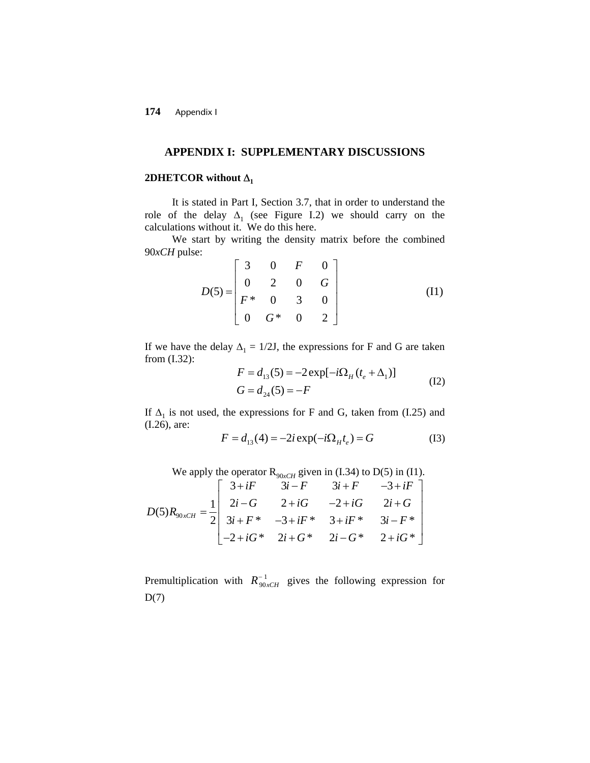**174** Appendix I

## **APPENDIX I: SUPPLEMENTARY DISCUSSIONS**

# **2DHETCOR** without  $\Delta_1$

It is stated in Part I, Section 3.7, that in order to understand the role of the delay  $\Delta_1$  (see Figure I.2) we should carry on the calculations without it. We do this here.

We start by writing the density matrix before the combined 90*xCH* pulse:

$$
D(5) = \begin{bmatrix} 3 & 0 & F & 0 \\ 0 & 2 & 0 & G \\ F^* & 0 & 3 & 0 \\ 0 & G^* & 0 & 2 \end{bmatrix}
$$
 (II)

If we have the delay  $\Delta_1 = 1/2J$ , the expressions for F and G are taken from (I.32):

$$
F = d_{13}(5) = -2 \exp[-i\Omega_H (t_e + \Delta_1)]
$$
  
\n
$$
G = d_{24}(5) = -F
$$
 (I2)

If  $\Delta_1$  is not used, the expressions for F and G, taken from (I.25) and (I.26), are:

$$
F = d_{13}(4) = -2i \exp(-i\Omega_H t_e) = G
$$
 (I3)

We apply the operator  $R_{90xCH}$  given in (I.34) to D(5) in (I1).

$$
D(5)R_{90xCH} = \frac{1}{2} \begin{bmatrix} 3+iF & 3i-F & 3i+F & -3+iF \\ 2i-G & 2+iG & -2+iG & 2i+G \\ 3i+F^{*} & -3+iF^{*} & 3+iF^{*} & 3i-F^{*} \\ -2+iG^{*} & 2i+G^{*} & 2i-G^{*} & 2+iG^{*} \end{bmatrix}
$$

Premultiplication with  $R_{90xCH}^{-1}$  gives the following expression for  $D(7)$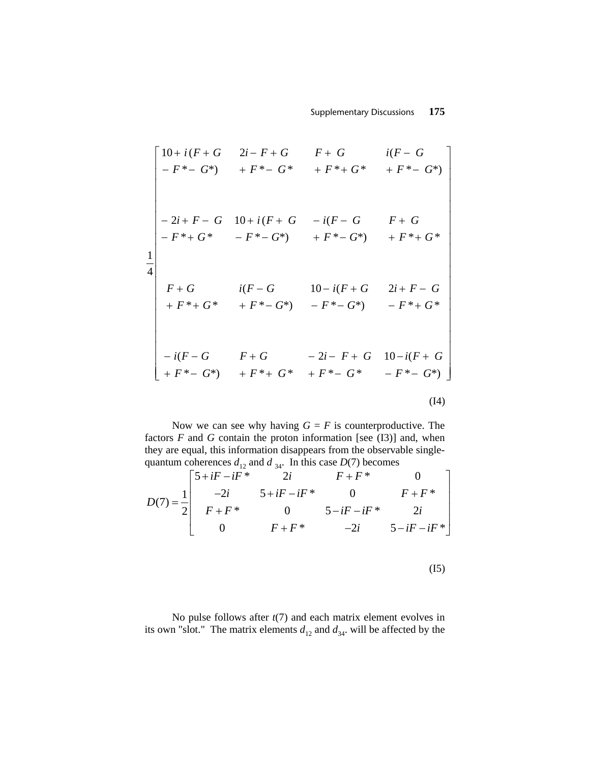$$
\begin{bmatrix}\n10+i(F+G & 2i-F+G & F+G & i(F-G) \\
-F*-G^*) & +F^*-G^* & +F^*+G^* & +F^*-G^*\n\end{bmatrix}
$$
\n
$$
\begin{bmatrix}\n-2i+F-G & 10+i(F+G & -i(F-G & F+G) \\
-F^*+G^* & -F^*-G^*) & +F^*+G^* & +F^*+G^*\n\end{bmatrix}
$$
\n
$$
\begin{bmatrix}\nF+G & i(F-G & 10-i(F+G & 2i+F-G) \\
+F^*+G^* & +F^*-G^*) & -F^*-G^* & -F^*+G^*\n\end{bmatrix}
$$
\n
$$
\begin{bmatrix}\n-i(F-G & F+G & -2i-F+G & 10-i(F+G) \\
+F^*-G^*) & +F^*+G^* & +F^*-G^* & -F^*-G^*\n\end{bmatrix}
$$
\n(14)

Now we can see why having  $G = F$  is counterproductive. The factors *F* and *G* contain the proton information [see (I3)] and, when they are equal, this information disappears from the observable singlequantum coherences  $d_{12}$  and  $d_{34}$ . In this case  $D(7)$  becomes

$$
D(7) = \frac{1}{2} \begin{bmatrix} 5 + iF - iF^* & 2i & F + F^* & 0 \\ -2i & 5 + iF - iF^* & 0 & F + F^* \\ F + F^* & 0 & 5 - iF - iF^* & 2i \\ 0 & F + F^* & -2i & 5 - iF - iF^* \end{bmatrix}
$$

$$
(\mathrm{I}5)
$$

No pulse follows after *t*(7) and each matrix element evolves in its own "slot." The matrix elements  $d_{12}$  and  $d_{34}$ . will be affected by the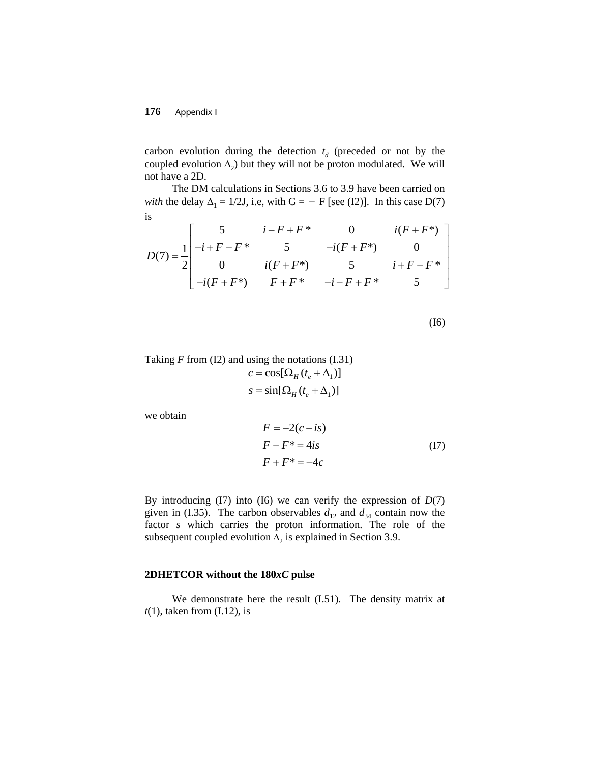## **176** Appendix I

carbon evolution during the detection  $t_d$  (preceded or not by the coupled evolution  $\Delta_2$ ) but they will not be proton modulated. We will not have a 2D.

The DM calculations in Sections 3.6 to 3.9 have been carried on *with* the delay  $\Delta_1 = 1/2J$ , i.e, with  $G = -F$  [see (I2)]. In this case D(7) is

$$
D(7) = \frac{1}{2} \begin{bmatrix} 5 & i - F + F^* & 0 & i(F + F^*) \\ -i + F - F^* & 5 & -i(F + F^*) & 0 \\ 0 & i(F + F^*) & 5 & i + F - F^* \\ -i(F + F^*) & F + F^* & -i - F + F^* & 5 \end{bmatrix}
$$

(I6)

Taking *F* from (I2) and using the notations (I.31)  

$$
c = \cos[\Omega_H(t_e + \Delta_1)]
$$

$$
s = \sin[\Omega_H(t_e + \Delta_1)]
$$

we obtain

$$
F = -2(c - is)
$$
  
\n
$$
F - F^* = 4is
$$
  
\n
$$
F + F^* = -4c
$$
\n(17)

By introducing (I7) into (I6) we can verify the expression of *D*(7) given in (I.35). The carbon observables  $d_{12}$  and  $d_{34}$  contain now the factor *s* which carries the proton information. The role of the subsequent coupled evolution  $\Delta_2$  is explained in Section 3.9.

#### **2DHETCOR without the 180***xC* **pulse**

We demonstrate here the result (I.51). The density matrix at *t*(1), taken from (I.12), is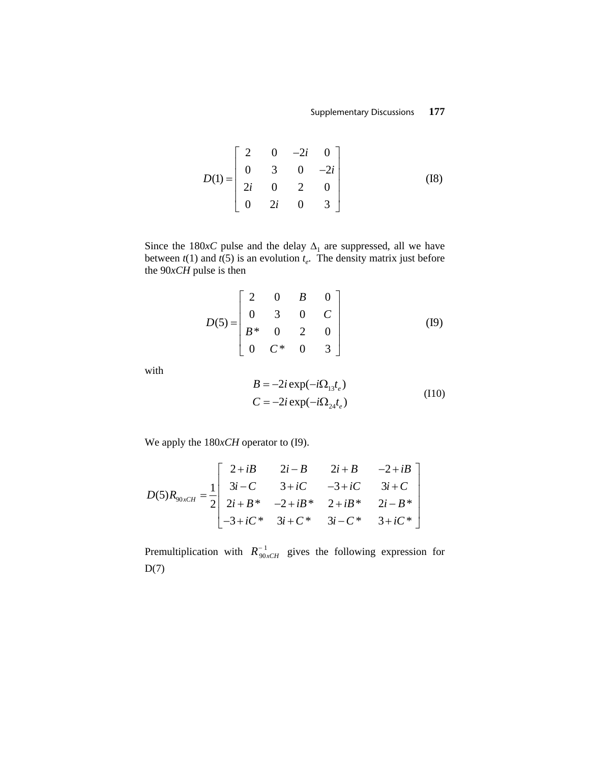$$
D(1) = \begin{bmatrix} 2 & 0 & -2i & 0 \\ 0 & 3 & 0 & -2i \\ 2i & 0 & 2 & 0 \\ 0 & 2i & 0 & 3 \end{bmatrix}
$$
 (I8)

Since the 180*xC* pulse and the delay  $\Delta_1$  are suppressed, all we have between  $t(1)$  and  $t(5)$  is an evolution  $t_e$ . The density matrix just before the 90*xCH* pulse is then

$$
D(5) = \begin{bmatrix} 2 & 0 & B & 0 \\ 0 & 3 & 0 & C \\ B^* & 0 & 2 & 0 \\ 0 & C^* & 0 & 3 \end{bmatrix}
$$
 (I9)

with

$$
B = -2i \exp(-i\Omega_{13}t_e)
$$
  
\n
$$
C = -2i \exp(-i\Omega_{24}t_e)
$$
\n(110)

We apply the 180*xCH* operator to (I9).

$$
D(5)R_{90xCH} = \frac{1}{2} \begin{bmatrix} 2+iB & 2i-B & 2i+B & -2+iB \\ 3i-C & 3+iC & -3+iC & 3i+C \\ 2i+B^* & -2+iB^* & 2+iB^* & 2i-B^* \\ -3+iC^* & 3i+C^* & 3i-C^* & 3+iC^* \end{bmatrix}
$$

Premultiplication with  $R_{90xCH}^{-1}$  gives the following expression for  $D(7)$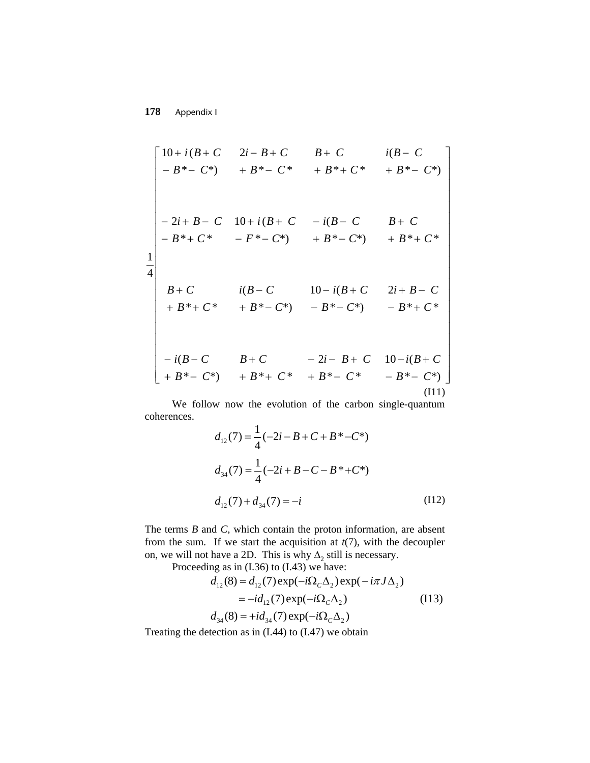**178** Appendix I

$$
\begin{bmatrix}\n10+i(B+C & 2i-B+C & B+C & i(B-C) \\
-B*-C^*) & +B^*-C^* & +B^*+C^* & +B^*-C^*\n\end{bmatrix}
$$
\n
$$
\begin{bmatrix}\n-2i+B-C & 10+i(B+C & -i(B-C & B+C) \\
-B^*+C^* & -F^*-C^*) & +B^*-C^* & +B^*+C^*\n\end{bmatrix}
$$
\n
$$
\begin{bmatrix}\nB+C & i(B-C & 10-i(B+C & 2i+B-C) \\
+B^*+C^* & +B^*-C^*) & -B^*-C^* & -B^*+C^*\n\end{bmatrix}
$$
\n
$$
\begin{bmatrix}\n-i(B-C & B+C & -2i-B+C & 10-i(B+C) \\
+B^*-C^*) & +B^*+C^* & +B^*-C^* & -B^*-C^*\n\end{bmatrix}
$$
\n(111)

We follow now the evolution of the carbon single-quantum coherences.

$$
d_{12}(7) = \frac{1}{4}(-2i - B + C + B^* - C^*)
$$
  
\n
$$
d_{34}(7) = \frac{1}{4}(-2i + B - C - B^* + C^*)
$$
  
\n
$$
d_{12}(7) + d_{34}(7) = -i
$$
\n(112)

The terms *B* and *C*, which contain the proton information, are absent from the sum. If we start the acquisition at *t*(7), with the decoupler on, we will not have a 2D. This is why  $\Delta_2$  still is necessary.

Proceeding as in (I.36) to (I.43) we have:

$$
d_{12}(8) = d_{12}(7) \exp(-i\Omega_C \Delta_2) \exp(-i\pi J \Delta_2)
$$
  
=  $-id_{12}(7) \exp(-i\Omega_C \Delta_2)$  (I13)  

$$
d_{34}(8) = +id_{34}(7) \exp(-i\Omega_C \Delta_2)
$$

Treating the detection as in (I.44) to (I.47) we obtain